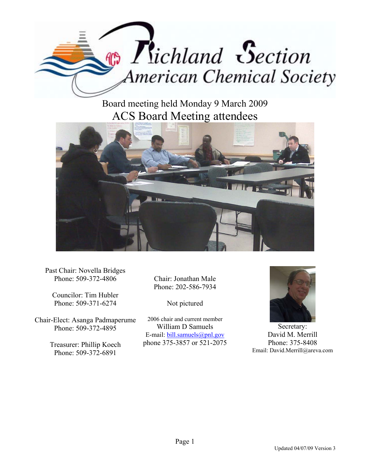

Board meeting held Monday 9 March 2009 ACS Board Meeting attendees



Past Chair: Novella Bridges Phone: 509-372-4806

Councilor: Tim Hubler Phone: 509-371-6274

Chair-Elect: Asanga Padmaperume Phone: 509-372-4895

> Treasurer: Phillip Koech Phone: 509-372-6891

Chair: Jonathan Male Phone: 202-586-7934

Not pictured

2006 chair and current member William D Samuels E-mail: bill.samuels@pnl.gov phone 375-3857 or 521-2075



Secretary: David M. Merrill Phone: 375-8408 Email: David.Merrill@areva.com